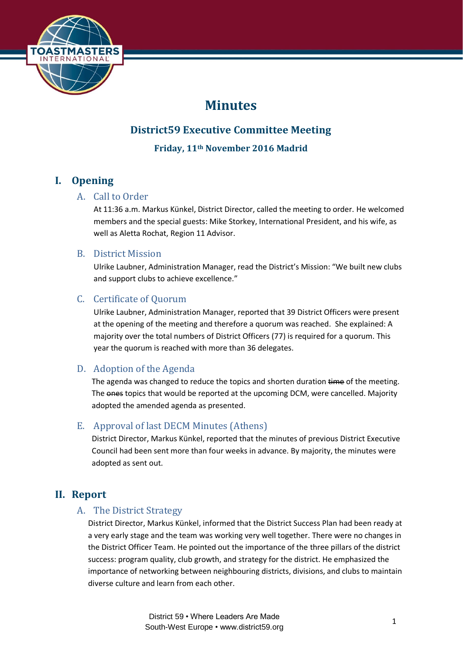

# **Minutes**

# **District59 Executive Committee Meeting**

**Friday, 11th November 2016 Madrid**

## **I. Opening**

## A. Call to Order

At 11:36 a.m. Markus Künkel, District Director, called the meeting to order. He welcomed members and the special guests: Mike Storkey, International President, and his wife, as well as Aletta Rochat, Region 11 Advisor.

#### B. District Mission

Ulrike Laubner, Administration Manager, read the District's Mission: "We built new clubs and support clubs to achieve excellence."

## C. Certificate of Quorum

Ulrike Laubner, Administration Manager, reported that 39 District Officers were present at the opening of the meeting and therefore a quorum was reached. She explained: A majority over the total numbers of District Officers (77) is required for a quorum. This year the quorum is reached with more than 36 delegates.

## D. Adoption of the Agenda

The agenda was changed to reduce the topics and shorten duration time of the meeting. The ones topics that would be reported at the upcoming DCM, were cancelled. Majority adopted the amended agenda as presented.

## E. Approval of last DECM Minutes (Athens)

District Director, Markus Künkel, reported that the minutes of previous District Executive Council had been sent more than four weeks in advance. By majority, the minutes were adopted as sent out.

## **II. Report**

## A. The District Strategy

District Director, Markus Künkel, informed that the District Success Plan had been ready at a very early stage and the team was working very well together. There were no changes in the District Officer Team. He pointed out the importance of the three pillars of the district success: program quality, club growth, and strategy for the district. He emphasized the importance of networking between neighbouring districts, divisions, and clubs to maintain diverse culture and learn from each other.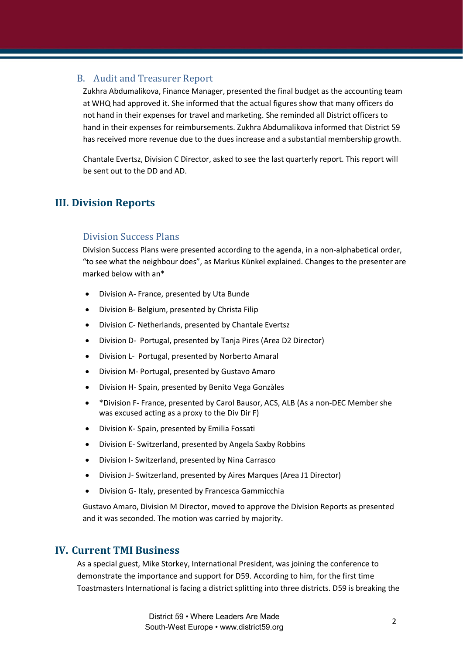#### B. Audit and Treasurer Report

Zukhra Abdumalikova, Finance Manager, presented the final budget as the accounting team at WHQ had approved it. She informed that the actual figures show that many officers do not hand in their expenses for travel and marketing. She reminded all District officers to hand in their expenses for reimbursements. Zukhra Abdumalikova informed that District 59 has received more revenue due to the dues increase and a substantial membership growth.

Chantale Evertsz, Division C Director, asked to see the last quarterly report. This report will be sent out to the DD and AD.

## **III. Division Reports**

#### Division Success Plans

Division Success Plans were presented according to the agenda, in a non-alphabetical order, "to see what the neighbour does", as Markus Künkel explained. Changes to the presenter are marked below with an\*

- Division A- France, presented by Uta Bunde
- Division B- Belgium, presented by Christa Filip
- Division C- Netherlands, presented by Chantale Evertsz
- Division D- Portugal, presented by Tanja Pires (Area D2 Director)
- Division L- Portugal, presented by Norberto Amaral
- Division M- Portugal, presented by Gustavo Amaro
- Division H- Spain, presented by Benito Vega Gonzàles
- \*Division F- France, presented by Carol Bausor, ACS, ALB (As a non-DEC Member she was excused acting as a proxy to the Div Dir F)
- Division K- Spain, presented by Emilia Fossati
- Division E- Switzerland, presented by Angela Saxby Robbins
- Division I- Switzerland, presented by Nina Carrasco
- Division J- Switzerland, presented by Aires Marques (Area J1 Director)
- Division G- Italy, presented by Francesca Gammicchia

Gustavo Amaro, Division M Director, moved to approve the Division Reports as presented and it was seconded. The motion was carried by majority.

#### **IV. Current TMI Business**

As a special guest, Mike Storkey, International President, was joining the conference to demonstrate the importance and support for D59. According to him, for the first time Toastmasters International is facing a district splitting into three districts. D59 is breaking the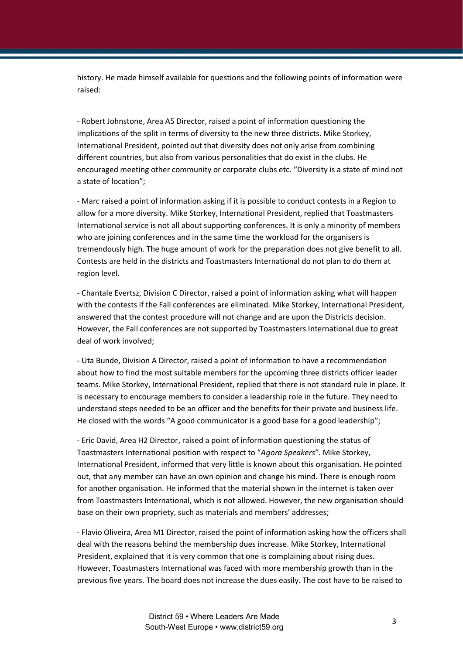history. He made himself available for questions and the following points of information were raised:

- Robert Johnstone, Area A5 Director, raised a point of information questioning the implications of the split in terms of diversity to the new three districts. Mike Storkey, International President, pointed out that diversity does not only arise from combining different countries, but also from various personalities that do exist in the clubs. He encouraged meeting other community or corporate clubs etc. "Diversity is a state of mind not a state of location";

- Marc raised a point of information asking if it is possible to conduct contests in a Region to allow for a more diversity. Mike Storkey, International President, replied that Toastmasters International service is not all about supporting conferences. It is only a minority of members who are joining conferences and in the same time the workload for the organisers is tremendously high. The huge amount of work for the preparation does not give benefit to all. Contests are held in the districts and Toastmasters International do not plan to do them at region level.

- Chantale Evertsz, Division C Director, raised a point of information asking what will happen with the contests if the Fall conferences are eliminated. Mike Storkey, International President, answered that the contest procedure will not change and are upon the Districts decision. However, the Fall conferences are not supported by Toastmasters International due to great deal of work involved;

- Uta Bunde, Division A Director, raised a point of information to have a recommendation about how to find the most suitable members for the upcoming three districts officer leader teams. Mike Storkey, International President, replied that there is not standard rule in place. It is necessary to encourage members to consider a leadership role in the future. They need to understand steps needed to be an officer and the benefits for their private and business life. He closed with the words "A good communicator is a good base for a good leadership";

- Eric David, Area H2 Director, raised a point of information questioning the status of Toastmasters International position with respect to "*Agora Speakers*". Mike Storkey, International President, informed that very little is known about this organisation. He pointed out, that any member can have an own opinion and change his mind. There is enough room for another organisation. He informed that the material shown in the internet is taken over from Toastmasters International, which is not allowed. However, the new organisation should base on their own propriety, such as materials and members' addresses;

- Flavio Oliveira, Area M1 Director, raised the point of information asking how the officers shall deal with the reasons behind the membership dues increase. Mike Storkey, International President, explained that it is very common that one is complaining about rising dues. However, Toastmasters International was faced with more membership growth than in the previous five years. The board does not increase the dues easily. The cost have to be raised to